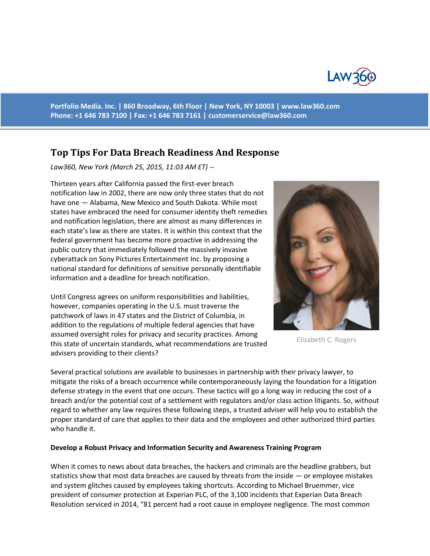

**Portfolio Media. Inc. | 860 Broadway, 6th Floor | New York, NY 10003 | www.law360.com Phone: +1 646 783 7100 | Fax: +1 646 783 7161 | [customerservice@law360.com](mailto:customerservice@law360.com)**

# **Top Tips For Data Breach Readiness And Response**

*Law360, New York (March 25, 2015, 11:03 AM ET) --*

Thirteen years after California passed the first-ever breach notification law in 2002, there are now only three states that do not have one — Alabama, New Mexico and South Dakota. While most states have embraced the need for consumer identity theft remedies and notification legislation, there are almost as many differences in each state's law as there are states. It is within this context that the federal government has become more proactive in addressing the public outcry that immediately followed the massively invasive cyberattack on Sony Pictures Entertainment Inc. by proposing a national standard for definitions of sensitive personally identifiable information and a deadline for breach notification.

Until Congress agrees on uniform responsibilities and liabilities, however, companies operating in the U.S. must traverse the patchwork of laws in 47 states and the District of Columbia, in addition to the regulations of multiple federal agencies that have assumed oversight roles for privacy and security practices. Among this state of uncertain standards, what recommendations are trusted advisers providing to their clients?



Elizabeth C. Rogers

Several practical solutions are available to businesses in partnership with their privacy lawyer, to mitigate the risks of a breach occurrence while contemporaneously laying the foundation for a litigation defense strategy in the event that one occurs. These tactics will go a long way in reducing the cost of a breach and/or the potential cost of a settlement with regulators and/or class action litigants. So, without regard to whether any law requires these following steps, a trusted adviser will help you to establish the proper standard of care that applies to their data and the employees and other authorized third parties who handle it.

#### **Develop a Robust Privacy and Information Security and Awareness Training Program**

When it comes to news about data breaches, the hackers and criminals are the headline grabbers, but statistics show that most data breaches are caused by threats from the inside  $-$  or employee mistakes and system glitches caused by employees taking shortcuts. According to Michael Bruemmer, vice president of consumer protection at Experian PLC, of the 3,100 incidents that Experian Data Breach Resolution serviced in 2014, "81 percent had a root cause in employee negligence. The most common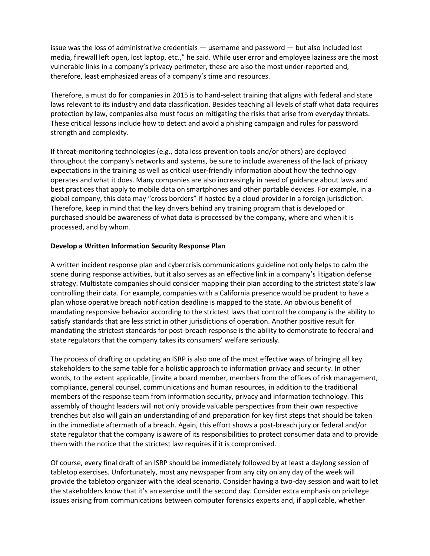issue was the loss of administrative credentials — username and password — but also included lost media, firewall left open, lost laptop, etc.," he said. While user error and employee laziness are the most vulnerable links in a company's privacy perimeter, these are also the most under-reported and, therefore, least emphasized areas of a company's time and resources.

Therefore, a must do for companies in 2015 is to hand-select training that aligns with federal and state laws relevant to its industry and data classification. Besides teaching all levels of staff what data requires protection by law, companies also must focus on mitigating the risks that arise from everyday threats. These critical lessons include how to detect and avoid a phishing campaign and rules for password strength and complexity.

If threat-monitoring technologies (e.g., data loss prevention tools and/or others) are deployed throughout the company's networks and systems, be sure to include awareness of the lack of privacy expectations in the training as well as critical user-friendly information about how the technology operates and what it does. Many companies are also increasingly in need of guidance about laws and best practices that apply to mobile data on smartphones and other portable devices. For example, in a global company, this data may "cross borders" if hosted by a cloud provider in a foreign jurisdiction. Therefore, keep in mind that the key drivers behind any training program that is developed or purchased should be awareness of what data is processed by the company, where and when it is processed, and by whom.

### **Develop a Written Information Security Response Plan**

A written incident response plan and cybercrisis communications guideline not only helps to calm the scene during response activities, but it also serves as an effective link in a company's litigation defense strategy. Multistate companies should consider mapping their plan according to the strictest state's law controlling their data. For example, companies with a California presence would be prudent to have a plan whose operative breach notification deadline is mapped to the state. An obvious benefit of mandating responsive behavior according to the strictest laws that control the company is the ability to satisfy standards that are less strict in other jurisdictions of operation. Another positive result for mandating the strictest standards for post-breach response is the ability to demonstrate to federal and state regulators that the company takes its consumers' welfare seriously.

The process of drafting or updating an ISRP is also one of the most effective ways of bringing all key stakeholders to the same table for a holistic approach to information privacy and security. In other words, to the extent applicable, [invite a board member, members from the offices of risk management, compliance, general counsel, communications and human resources, in addition to the traditional members of the response team from information security, privacy and information technology. This assembly of thought leaders will not only provide valuable perspectives from their own respective trenches but also will gain an understanding of and preparation for key first steps that should be taken in the immediate aftermath of a breach. Again, this effort shows a post-breach jury or federal and/or state regulator that the company is aware of its responsibilities to protect consumer data and to provide them with the notice that the strictest law requires if it is compromised.

Of course, every final draft of an ISRP should be immediately followed by at least a daylong session of tabletop exercises. Unfortunately, most any newspaper from any city on any day of the week will provide the tabletop organizer with the ideal scenario. Consider having a two-day session and wait to let the stakeholders know that it's an exercise until the second day. Consider extra emphasis on privilege issues arising from communications between computer forensics experts and, if applicable, whether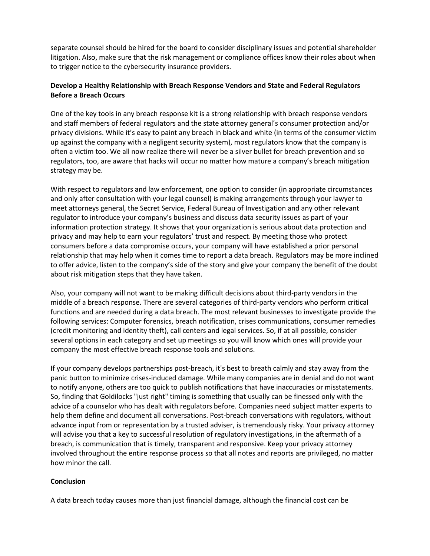separate counsel should be hired for the board to consider disciplinary issues and potential shareholder litigation. Also, make sure that the risk management or compliance offices know their roles about when to trigger notice to the cybersecurity insurance providers.

## **Develop a Healthy Relationship with Breach Response Vendors and State and Federal Regulators Before a Breach Occurs**

One of the key tools in any breach response kit is a strong relationship with breach response vendors and staff members of federal regulators and the state attorney general's consumer protection and/or privacy divisions. While it's easy to paint any breach in black and white (in terms of the consumer victim up against the company with a negligent security system), most regulators know that the company is often a victim too. We all now realize there will never be a silver bullet for breach prevention and so regulators, too, are aware that hacks will occur no matter how mature a company's breach mitigation strategy may be.

With respect to regulators and law enforcement, one option to consider (in appropriate circumstances and only after consultation with your legal counsel) is making arrangements through your lawyer to meet attorneys general, the Secret Service, Federal Bureau of Investigation and any other relevant regulator to introduce your company's business and discuss data security issues as part of your information protection strategy. It shows that your organization is serious about data protection and privacy and may help to earn your regulators' trust and respect. By meeting those who protect consumers before a data compromise occurs, your company will have established a prior personal relationship that may help when it comes time to report a data breach. Regulators may be more inclined to offer advice, listen to the company's side of the story and give your company the benefit of the doubt about risk mitigation steps that they have taken.

Also, your company will not want to be making difficult decisions about third-party vendors in the middle of a breach response. There are several categories of third-party vendors who perform critical functions and are needed during a data breach. The most relevant businesses to investigate provide the following services: Computer forensics, breach notification, crises communications, consumer remedies (credit monitoring and identity theft), call centers and legal services. So, if at all possible, consider several options in each category and set up meetings so you will know which ones will provide your company the most effective breach response tools and solutions.

If your company develops partnerships post-breach, it's best to breath calmly and stay away from the panic button to minimize crises-induced damage. While many companies are in denial and do not want to notify anyone, others are too quick to publish notifications that have inaccuracies or misstatements. So, finding that Goldilocks "just right" timing is something that usually can be finessed only with the advice of a counselor who has dealt with regulators before. Companies need subject matter experts to help them define and document all conversations. Post-breach conversations with regulators, without advance input from or representation by a trusted adviser, is tremendously risky. Your privacy attorney will advise you that a key to successful resolution of regulatory investigations, in the aftermath of a breach, is communication that is timely, transparent and responsive. Keep your privacy attorney involved throughout the entire response process so that all notes and reports are privileged, no matter how minor the call.

### **Conclusion**

A data breach today causes more than just financial damage, although the financial cost can be